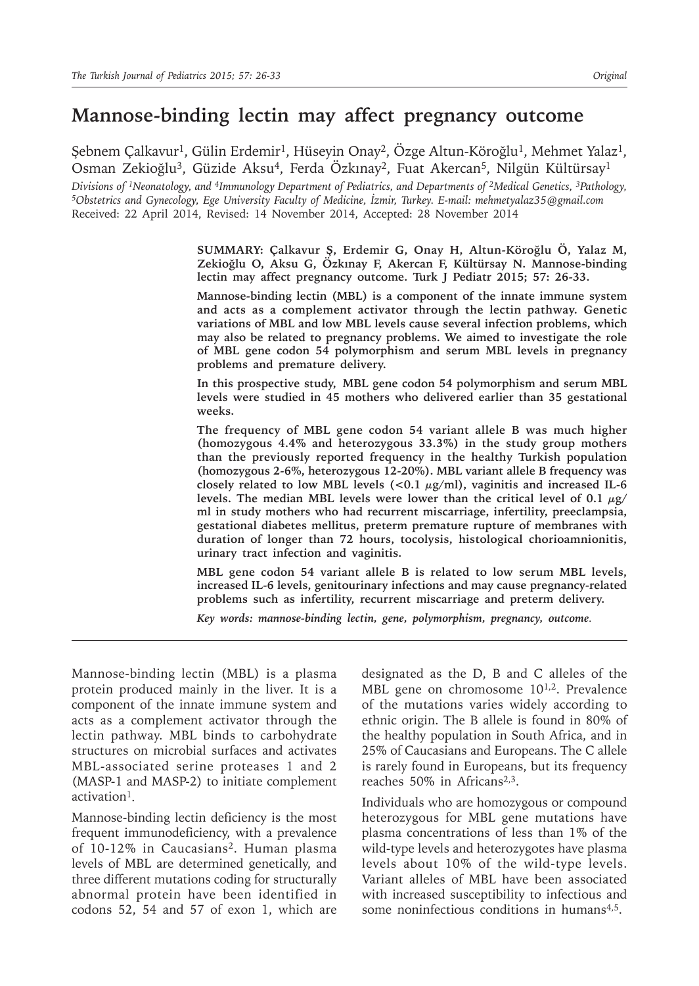# **Mannose-binding lectin may affect pregnancy outcome**

Şebnem Çalkavur<sup>1</sup>, Gülin Erdemir<sup>1</sup>, Hüseyin Onay<sup>2</sup>, Özge Altun-Köroğlu<sup>1</sup>, Mehmet Yalaz<sup>1</sup>, Osman Zekioğlu<sup>3</sup>, Güzide Aksu<sup>4</sup>, Ferda Özkınay<sup>2</sup>, Fuat Akercan<sup>5</sup>, Nilgün Kültürsay<sup>1</sup>

Divisions of <sup>1</sup>Neonatology, and <sup>4</sup>Immunology Department of Pediatrics, and Departments of <sup>2</sup>Medical Genetics, <sup>3</sup>Pathology,<br><sup>5</sup>Obstetrics and Gynecology, Ege University Faculty of Medicine, İzmir, Turkey. E-mail: mehmet Received: 22 April 2014, Revised: 14 November 2014, Accepted: 28 November 2014

> **SUMMARY: Çalkavur Ş, Erdemir G, Onay H, Altun-Köroğlu Ö, Yalaz M, Zekioğlu O, Aksu G, Özkınay F, Akercan F, Kültürsay N. Mannose-binding lectin may affect pregnancy outcome. Turk J Pediatr 2015; 57: 26-33.**

> **Mannose-binding lectin (MBL) is a component of the innate immune system and acts as a complement activator through the lectin pathway. Genetic variations of MBL and low MBL levels cause several infection problems, which may also be related to pregnancy problems. We aimed to investigate the role of MBL gene codon 54 polymorphism and serum MBL levels in pregnancy problems and premature delivery.**

> **In this prospective study, MBL gene codon 54 polymorphism and serum MBL levels were studied in 45 mothers who delivered earlier than 35 gestational weeks.**

> **The frequency of MBL gene codon 54 variant allele B was much higher (homozygous 4.4% and heterozygous 33.3%) in the study group mothers than the previously reported frequency in the healthy Turkish population (homozygous 2-6%, heterozygous 12-20%). MBL variant allele B frequency was closely related to low MBL levels (<0.1 µg/ml), vaginitis and increased IL-6 levels. The median MBL levels were lower than the critical level of 0.1 µg/ ml in study mothers who had recurrent miscarriage, infertility, preeclampsia, gestational diabetes mellitus, preterm premature rupture of membranes with duration of longer than 72 hours, tocolysis, histological chorioamnionitis, urinary tract infection and vaginitis.**

> **MBL gene codon 54 variant allele B is related to low serum MBL levels, increased IL-6 levels, genitourinary infections and may cause pregnancy-related problems such as infertility, recurrent miscarriage and preterm delivery.**

*Key words: mannose-binding lectin, gene, polymorphism, pregnancy, outcome.*

Mannose-binding lectin (MBL) is a plasma protein produced mainly in the liver. It is a component of the innate immune system and acts as a complement activator through the lectin pathway. MBL binds to carbohydrate structures on microbial surfaces and activates MBL-associated serine proteases 1 and 2 (MASP-1 and MASP-2) to initiate complement activation1.

Mannose-binding lectin deficiency is the most frequent immunodeficiency, with a prevalence of 10-12% in Caucasians2. Human plasma levels of MBL are determined genetically, and three different mutations coding for structurally abnormal protein have been identified in codons 52, 54 and 57 of exon 1, which are

designated as the D, B and C alleles of the MBL gene on chromosome 10<sup>1,2</sup>. Prevalence of the mutations varies widely according to ethnic origin. The B allele is found in 80% of the healthy population in South Africa, and in 25% of Caucasians and Europeans. The C allele is rarely found in Europeans, but its frequency reaches 50% in Africans<sup>2,3</sup>.

Individuals who are homozygous or compound heterozygous for MBL gene mutations have plasma concentrations of less than 1% of the wild-type levels and heterozygotes have plasma levels about 10% of the wild-type levels. Variant alleles of MBL have been associated with increased susceptibility to infectious and some noninfectious conditions in humans<sup>4,5</sup>.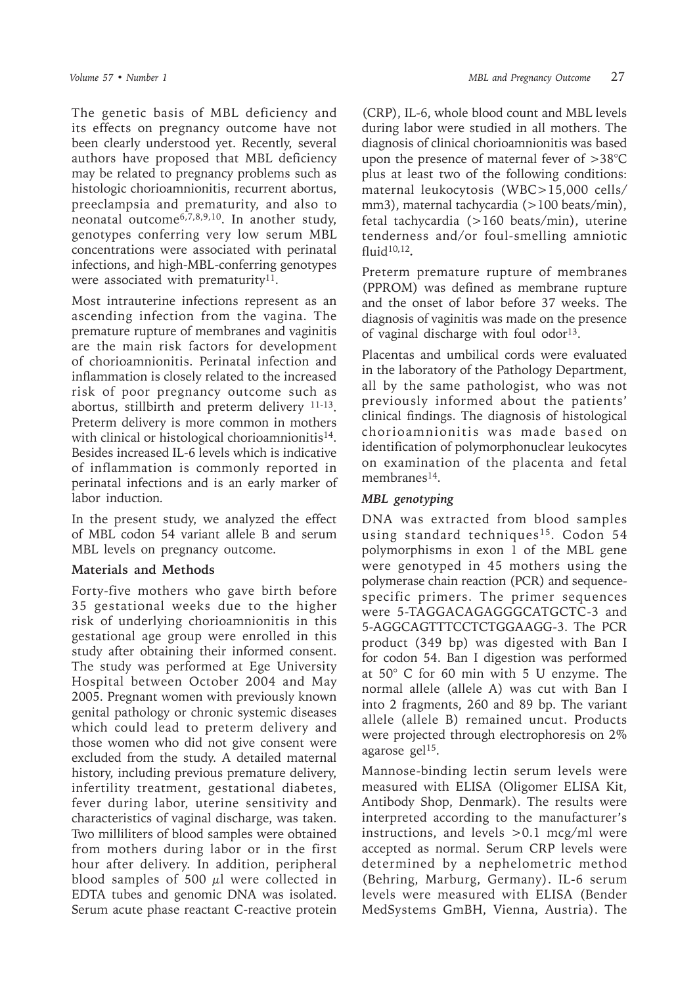The genetic basis of MBL deficiency and its effects on pregnancy outcome have not been clearly understood yet. Recently, several authors have proposed that MBL deficiency may be related to pregnancy problems such as histologic chorioamnionitis, recurrent abortus, preeclampsia and prematurity, and also to neonatal outcome6,7,8,9,10. In another study, genotypes conferring very low serum MBL concentrations were associated with perinatal infections, and high-MBL-conferring genotypes were associated with prematurity<sup>11</sup>.

Most intrauterine infections represent as an ascending infection from the vagina. The premature rupture of membranes and vaginitis are the main risk factors for development of chorioamnionitis. Perinatal infection and inflammation is closely related to the increased risk of poor pregnancy outcome such as abortus, stillbirth and preterm delivery 11-13. Preterm delivery is more common in mothers with clinical or histological chorioamnionitis<sup>14</sup>. Besides increased IL-6 levels which is indicative of inflammation is commonly reported in perinatal infections and is an early marker of labor induction*.* 

In the present study, we analyzed the effect of MBL codon 54 variant allele B and serum MBL levels on pregnancy outcome.

#### **Materials and Methods**

Forty-five mothers who gave birth before 35 gestational weeks due to the higher risk of underlying chorioamnionitis in this gestational age group were enrolled in this study after obtaining their informed consent. The study was performed at Ege University Hospital between October 2004 and May 2005. Pregnant women with previously known genital pathology or chronic systemic diseases which could lead to preterm delivery and those women who did not give consent were excluded from the study. A detailed maternal history, including previous premature delivery, infertility treatment, gestational diabetes, fever during labor, uterine sensitivity and characteristics of vaginal discharge, was taken. Two milliliters of blood samples were obtained from mothers during labor or in the first hour after delivery. In addition, peripheral blood samples of 500  $\mu$ l were collected in EDTA tubes and genomic DNA was isolated. Serum acute phase reactant C-reactive protein

(CRP), IL-6, whole blood count and MBL levels during labor were studied in all mothers. The diagnosis of clinical chorioamnionitis was based upon the presence of maternal fever of >38°C plus at least two of the following conditions: maternal leukocytosis (WBC>15,000 cells/ mm3), maternal tachycardia (>100 beats/min), fetal tachycardia (>160 beats/min), uterine tenderness and/or foul-smelling amniotic fluid10,12*.*

Preterm premature rupture of membranes (PPROM) was defined as membrane rupture and the onset of labor before 37 weeks. The diagnosis of vaginitis was made on the presence of vaginal discharge with foul odor<sup>13</sup>.

Placentas and umbilical cords were evaluated in the laboratory of the Pathology Department, all by the same pathologist, who was not previously informed about the patients' clinical findings. The diagnosis of histological chorioamnionitis was made based on identification of polymorphonuclear leukocytes on examination of the placenta and fetal membranes<sup>14</sup>.

### *MBL genotyping*

DNA was extracted from blood samples using standard techniques<sup>15</sup>. Codon 54 polymorphisms in exon 1 of the MBL gene were genotyped in 45 mothers using the polymerase chain reaction (PCR) and sequencespecific primers. The primer sequences were 5-TAGGACAGAGGGCATGCTC-3 and 5-AGGCAGTTTCCTCTGGAAGG-3. The PCR product (349 bp) was digested with Ban I for codon 54. Ban I digestion was performed at 50° C for 60 min with 5 U enzyme. The normal allele (allele A) was cut with Ban I into 2 fragments, 260 and 89 bp. The variant allele (allele B) remained uncut. Products were projected through electrophoresis on 2% agarose gel $15$ .

Mannose-binding lectin serum levels were measured with ELISA (Oligomer ELISA Kit, Antibody Shop, Denmark). The results were interpreted according to the manufacturer's instructions, and levels  $>0.1$  mcg/ml were accepted as normal. Serum CRP levels were determined by a nephelometric method (Behring, Marburg, Germany). IL-6 serum levels were measured with ELISA (Bender MedSystems GmBH, Vienna, Austria). The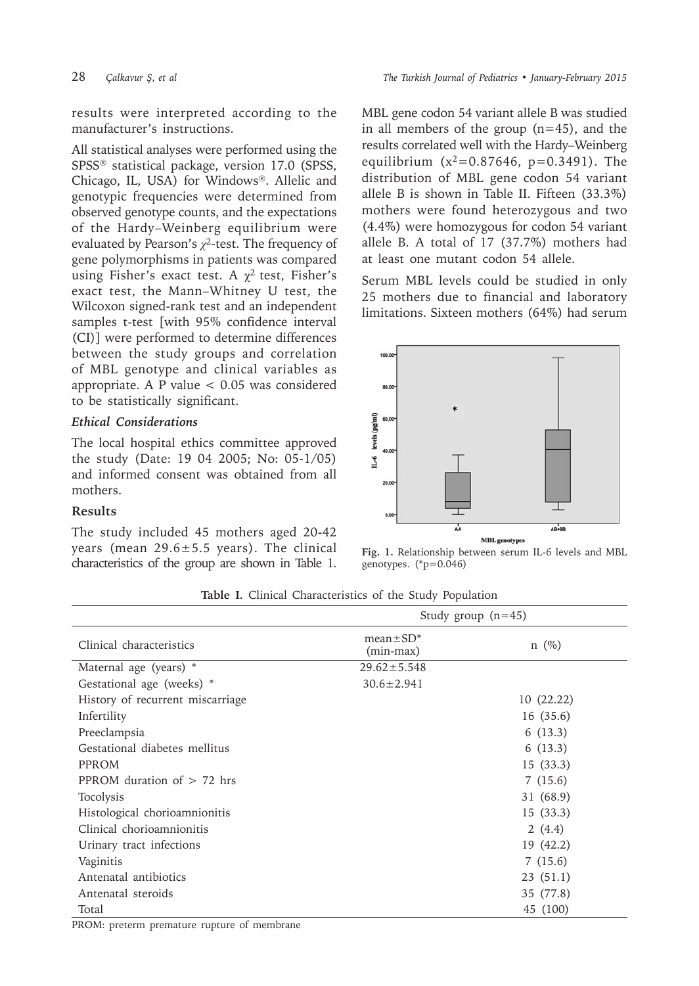results were interpreted according to the manufacturer's instructions.

All statistical analyses were performed using the SPSS<sup>®</sup> statistical package, version 17.0 (SPSS, Chicago, IL, USA) for Windows®. Allelic and genotypic frequencies were determined from observed genotype counts, and the expectations of the Hardy–Weinberg equilibrium were evaluated by Pearson's *χ*2-test. The frequency of gene polymorphisms in patients was compared using Fisher's exact test. A  $\chi^2$  test, Fisher's exact test, the Mann–Whitney U test, the Wilcoxon signed-rank test and an independent samples t-test [with 95% confidence interval (CI)] were performed to determine differences between the study groups and correlation of MBL genotype and clinical variables as appropriate. A P value  $< 0.05$  was considered to be statistically significant.

### *Ethical Considerations*

The local hospital ethics committee approved the study (Date: 19 04 2005; No: 05-1/05) and informed consent was obtained from all mothers.

### **Results**

The study included 45 mothers aged 20-42 years (mean  $29.6 \pm 5.5$  years). The clinical characteristics of the group are shown in Table 1. MBL gene codon 54 variant allele B was studied in all members of the group  $(n=45)$ , and the results correlated well with the Hardy–Weinberg equilibrium  $(x^2=0.87646, p=0.3491)$ . The distribution of MBL gene codon 54 variant allele B is shown in Table II. Fifteen (33.3%) mothers were found heterozygous and two (4.4%) were homozygous for codon 54 variant allele B. A total of 17 (37.7%) mothers had at least one mutant codon 54 allele.

Serum MBL levels could be studied in only 25 mothers due to financial and laboratory limitations. Sixteen mothers (64%) had serum



**Fig. 1.** Relationship between serum IL-6 levels and MBL genotypes. (\*p=0.046)

|  | Table I. Clinical Characteristics of the Study Population |  |  |
|--|-----------------------------------------------------------|--|--|
|  |                                                           |  |  |

|                                  | Study group $(n=45)$         |            |  |  |  |  |
|----------------------------------|------------------------------|------------|--|--|--|--|
| Clinical characteristics         | $mean \pm SD^*$<br>(min-max) | $n \ (\%)$ |  |  |  |  |
| Maternal age (years) *           | $29.62 \pm 5.548$            |            |  |  |  |  |
| Gestational age (weeks) *        | $30.6 \pm 2.941$             |            |  |  |  |  |
| History of recurrent miscarriage |                              | 10(22.22)  |  |  |  |  |
| Infertility                      |                              | 16 (35.6)  |  |  |  |  |
| Preeclampsia                     |                              | 6(13.3)    |  |  |  |  |
| Gestational diabetes mellitus    |                              | 6(13.3)    |  |  |  |  |
| PPROM                            |                              | 15(33.3)   |  |  |  |  |
| PPROM duration of $> 72$ hrs     |                              | 7(15.6)    |  |  |  |  |
| Tocolysis                        |                              | 31 (68.9)  |  |  |  |  |
| Histological chorioamnionitis    |                              | 15(33.3)   |  |  |  |  |
| Clinical chorioamnionitis        |                              | 2(4.4)     |  |  |  |  |
| Urinary tract infections         |                              | 19 (42.2)  |  |  |  |  |
| Vaginitis                        |                              | 7(15.6)    |  |  |  |  |
| Antenatal antibiotics            |                              | 23(51.1)   |  |  |  |  |
| Antenatal steroids               |                              | 35 (77.8)  |  |  |  |  |
| Total                            |                              | 45 (100)   |  |  |  |  |

PROM: preterm premature rupture of membrane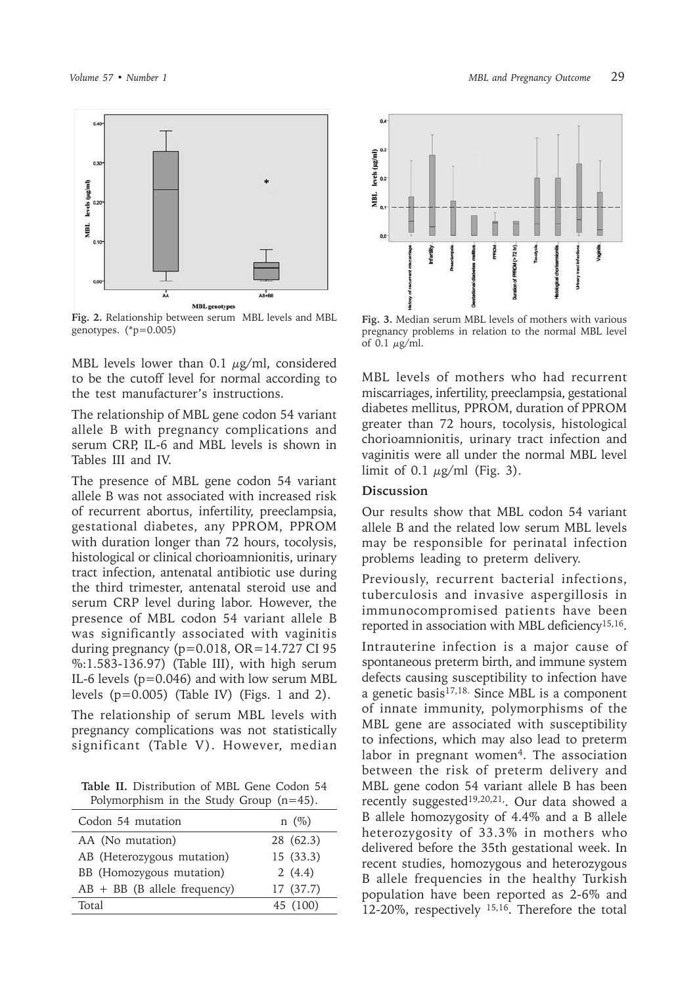

**Fig. 2.** Relationship between serum MBL levels and MBL genotypes. (\*p=0.005)

MBL levels lower than 0.1  $\mu$ g/ml, considered to be the cutoff level for normal according to the test manufacturer's instructions.

The relationship of MBL gene codon 54 variant allele B with pregnancy complications and serum CRP, IL-6 and MBL levels is shown in Tables III and IV.

The presence of MBL gene codon 54 variant allele B was not associated with increased risk of recurrent abortus, infertility, preeclampsia, gestational diabetes, any PPROM, PPROM with duration longer than 72 hours, tocolysis, histological or clinical chorioamnionitis, urinary tract infection, antenatal antibiotic use during the third trimester, antenatal steroid use and serum CRP level during labor. However, the presence of MBL codon 54 variant allele B was significantly associated with vaginitis during pregnancy ( $p=0.018$ ,  $OR=14.727$  CI 95 %:1.583-136.97) (Table III), with high serum IL-6 levels (p=0.046) and with low serum MBL levels  $(p=0.005)$  (Table IV) (Figs. 1 and 2).

The relationship of serum MBL levels with pregnancy complications was not statistically significant (Table V). However, median

**Table II.** Distribution of MBL Gene Codon 54 Polymorphism in the Study Group (n=45).

| Codon 54 mutation              | $n \ (\%)$ |
|--------------------------------|------------|
| AA (No mutation)               | 28 (62.3)  |
| AB (Heterozygous mutation)     | 15(33.3)   |
| BB (Homozygous mutation)       | 2(4.4)     |
| $AB + BB$ (B allele frequency) | 17 (37.7)  |
| Total                          | 45 (100)   |
|                                |            |

*Volume 57 • Number 1 MBL and Pregnancy Outcome* 29



**Fig. 3.** Median serum MBL levels of mothers with various pregnancy problems in relation to the normal MBL level of 0.1  $\mu$ g/ml.

MBL levels of mothers who had recurrent miscarriages, infertility, preeclampsia, gestational diabetes mellitus, PPROM, duration of PPROM greater than 72 hours, tocolysis, histological chorioamnionitis, urinary tract infection and vaginitis were all under the normal MBL level limit of 0.1  $\mu$ g/ml (Fig. 3).

# **Discussion**

Our results show that MBL codon 54 variant allele B and the related low serum MBL levels may be responsible for perinatal infection problems leading to preterm delivery.

Previously, recurrent bacterial infections, tuberculosis and invasive aspergillosis in immunocompromised patients have been reported in association with MBL deficiency<sup>15,16</sup>.

Intrauterine infection is a major cause of spontaneous preterm birth, and immune system defects causing susceptibility to infection have a genetic basis<sup>17,18.</sup> Since MBL is a component of innate immunity, polymorphisms of the MBL gene are associated with susceptibility to infections, which may also lead to preterm labor in pregnant women<sup>4</sup>. The association between the risk of preterm delivery and MBL gene codon 54 variant allele B has been recently suggested<sup>19,20,21</sup>,. Our data showed a B allele homozygosity of 4.4% and a B allele heterozygosity of 33.3% in mothers who delivered before the 35th gestational week. In recent studies, homozygous and heterozygous B allele frequencies in the healthy Turkish population have been reported as 2-6% and 12-20%, respectively 15,16. Therefore the total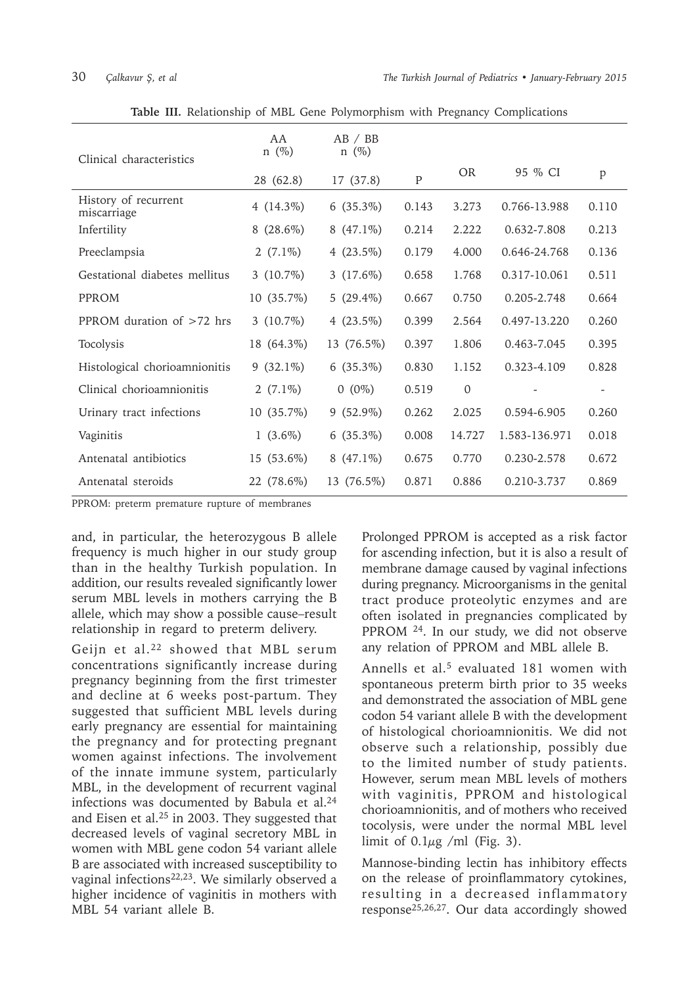| Clinical characteristics            | AA<br>$n \ (\%)$ | AB / BB<br>$n \ (\%)$ |              |              |               |                          |
|-------------------------------------|------------------|-----------------------|--------------|--------------|---------------|--------------------------|
|                                     | 28 (62.8)        | 17(37.8)              | $\mathbf{P}$ | <b>OR</b>    | 95 % CI       | $\mathbf{p}$             |
| History of recurrent<br>miscarriage | 4 $(14.3\%)$     | $6(35.3\%)$           | 0.143        | 3.273        | 0.766-13.988  | 0.110                    |
| Infertility                         | $8(28.6\%)$      | $8(47.1\%)$           | 0.214        | 2.222        | 0.632-7.808   | 0.213                    |
| Preeclampsia                        | 2 $(7.1\%)$      | 4 $(23.5\%)$          | 0.179        | 4.000        | 0.646-24.768  | 0.136                    |
| Gestational diabetes mellitus       | 3 $(10.7\%)$     | 3 $(17.6\%)$          | 0.658        | 1.768        | 0.317-10.061  | 0.511                    |
| PPROM                               | $10(35.7\%)$     | 5 $(29.4\%)$          | 0.667        | 0.750        | 0.205-2.748   | 0.664                    |
| PPROM duration of $>72$ hrs         | 3 $(10.7\%)$     | 4 $(23.5\%)$          | 0.399        | 2.564        | 0.497-13.220  | 0.260                    |
| Tocolysis                           | 18 (64.3%)       | 13 (76.5%)            | 0.397        | 1.806        | 0.463-7.045   | 0.395                    |
| Histological chorioamnionitis       | $9(32.1\%)$      | $6(35.3\%)$           | 0.830        | 1.152        | 0.323-4.109   | 0.828                    |
| Clinical chorioamnionitis           | 2 $(7.1\%)$      | $0(0\%)$              | 0.519        | $\mathbf{0}$ |               | $\overline{\phantom{a}}$ |
| Urinary tract infections            | 10 (35.7%)       | $9(52.9\%)$           | 0.262        | 2.025        | 0.594-6.905   | 0.260                    |
| Vaginitis                           | $1(3.6\%)$       | $6(35.3\%)$           | 0.008        | 14.727       | 1.583-136.971 | 0.018                    |
| Antenatal antibiotics               | 15 (53.6%)       | $8(47.1\%)$           | 0.675        | 0.770        | 0.230-2.578   | 0.672                    |
| Antenatal steroids                  | 22 (78.6%)       | 13 (76.5%)            | 0.871        | 0.886        | 0.210-3.737   | 0.869                    |

**Table III.** Relationship of MBL Gene Polymorphism with Pregnancy Complications

PPROM: preterm premature rupture of membranes

and, in particular, the heterozygous B allele frequency is much higher in our study group than in the healthy Turkish population. In addition, our results revealed significantly lower serum MBL levels in mothers carrying the B allele, which may show a possible cause–result relationship in regard to preterm delivery.

Geijn et al.<sup>22</sup> showed that MBL serum concentrations significantly increase during pregnancy beginning from the first trimester and decline at 6 weeks post-partum. They suggested that sufficient MBL levels during early pregnancy are essential for maintaining the pregnancy and for protecting pregnant women against infections. The involvement of the innate immune system, particularly MBL, in the development of recurrent vaginal infections was documented by Babula et al.<sup>24</sup> and Eisen et al.25 in 2003. They suggested that decreased levels of vaginal secretory MBL in women with MBL gene codon 54 variant allele B are associated with increased susceptibility to vaginal infections<sup>22,23</sup>. We similarly observed a higher incidence of vaginitis in mothers with MBL 54 variant allele B.

Prolonged PPROM is accepted as a risk factor for ascending infection, but it is also a result of membrane damage caused by vaginal infections during pregnancy. Microorganisms in the genital tract produce proteolytic enzymes and are often isolated in pregnancies complicated by PPROM 24. In our study, we did not observe any relation of PPROM and MBL allele B.

Annells et al.5 evaluated 181 women with spontaneous preterm birth prior to 35 weeks and demonstrated the association of MBL gene codon 54 variant allele B with the development of histological chorioamnionitis. We did not observe such a relationship, possibly due to the limited number of study patients. However, serum mean MBL levels of mothers with vaginitis, PPROM and histological chorioamnionitis, and of mothers who received tocolysis, were under the normal MBL level limit of  $0.1\mu$ g /ml (Fig. 3).

Mannose-binding lectin has inhibitory effects on the release of proinflammatory cytokines, resulting in a decreased inflammatory response25,26,27. Our data accordingly showed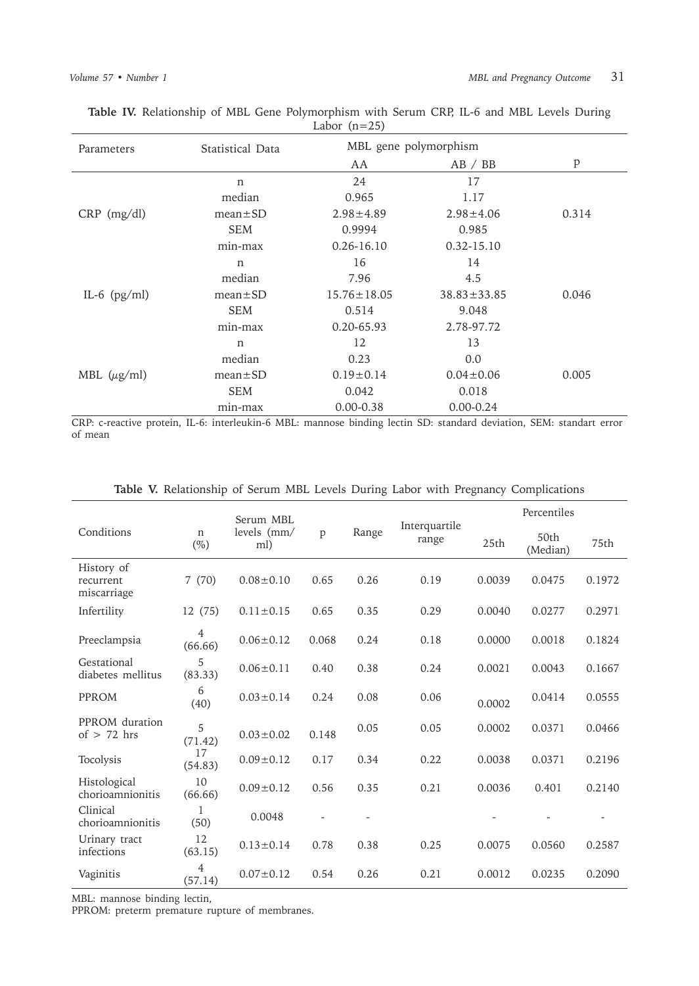| Parameters       | Statistical Data | MBL gene polymorphism |                   |       |  |  |
|------------------|------------------|-----------------------|-------------------|-------|--|--|
|                  |                  | AA                    | AB / BB           | p     |  |  |
|                  | $\mathbf n$      | 24                    | 17                |       |  |  |
|                  | median           | 0.965                 | 1.17              |       |  |  |
| $CRP$ (mg/dl)    | $mean \pm SD$    | $2.98 \pm 4.89$       | $2.98 \pm 4.06$   | 0.314 |  |  |
|                  | <b>SEM</b>       | 0.9994                | 0.985             |       |  |  |
|                  | min-max          | $0.26 - 16.10$        | $0.32 - 15.10$    |       |  |  |
|                  | n                | 16                    | 14                |       |  |  |
|                  | median           | 7.96                  | 4.5               |       |  |  |
| IL-6 $(pg/ml)$   | $mean \pm SD$    | $15.76 \pm 18.05$     | $38.83 \pm 33.85$ | 0.046 |  |  |
|                  | <b>SEM</b>       | 0.514                 | 9.048             |       |  |  |
|                  | min-max          | 0.20-65.93            | 2.78-97.72        |       |  |  |
|                  | n                | 12                    | 13                |       |  |  |
|                  | median           | 0.23                  | 0.0               |       |  |  |
| MBL $(\mu g/ml)$ | $mean \pm SD$    | $0.19 \pm 0.14$       | $0.04 \pm 0.06$   | 0.005 |  |  |
|                  | <b>SEM</b>       | 0.042                 | 0.018             |       |  |  |
|                  | min-max          | $0.00 - 0.38$         | $0.00 - 0.24$     |       |  |  |

**Table IV.** Relationship of MBL Gene Polymorphism with Serum CRP, IL-6 and MBL Levels During Labor  $(n=25)$ 

CRP: c-reactive protein, IL-6: interleukin-6 MBL: mannose binding lectin SD: standard deviation, SEM: standart error of mean

|                                        |                           | Serum MBL<br>levels (mm/<br>ml) | p     | Range | Interquartile<br>range | Percentiles |                  |        |
|----------------------------------------|---------------------------|---------------------------------|-------|-------|------------------------|-------------|------------------|--------|
| Conditions                             | $\mathbf n$<br>$(\%)$     |                                 |       |       |                        | 25th        | 50th<br>(Median) | 75th   |
| History of<br>recurrent<br>miscarriage | 7(70)                     | $0.08 \pm 0.10$                 | 0.65  | 0.26  | 0.19                   | 0.0039      | 0.0475           | 0.1972 |
| Infertility                            | 12 (75)                   | $0.11 \pm 0.15$                 | 0.65  | 0.35  | 0.29                   | 0.0040      | 0.0277           | 0.2971 |
| Preeclampsia                           | 4<br>(66.66)              | $0.06 \pm 0.12$                 | 0.068 | 0.24  | 0.18                   | 0.0000      | 0.0018           | 0.1824 |
| Gestational<br>diabetes mellitus       | 5<br>(83.33)              | $0.06 \pm 0.11$                 | 0.40  | 0.38  | 0.24                   | 0.0021      | 0.0043           | 0.1667 |
| PPROM                                  | 6<br>(40)                 | $0.03 \pm 0.14$                 | 0.24  | 0.08  | 0.06                   | 0.0002      | 0.0414           | 0.0555 |
| PPROM duration<br>of $> 72$ hrs        | 5<br>(71.42)              | $0.03 \pm 0.02$                 | 0.148 | 0.05  | 0.05                   | 0.0002      | 0.0371           | 0.0466 |
| Tocolysis                              | 17<br>(54.83)             | $0.09 \pm 0.12$                 | 0.17  | 0.34  | 0.22                   | 0.0038      | 0.0371           | 0.2196 |
| Histological<br>chorioamnionitis       | 10<br>(66.66)             | $0.09 \pm 0.12$                 | 0.56  | 0.35  | 0.21                   | 0.0036      | 0.401            | 0.2140 |
| Clinical<br>chorioamnionitis           | 1<br>(50)                 | 0.0048                          |       |       |                        |             |                  |        |
| Urinary tract<br>infections            | 12<br>(63.15)             | $0.13 \pm 0.14$                 | 0.78  | 0.38  | 0.25                   | 0.0075      | 0.0560           | 0.2587 |
| Vaginitis                              | $\overline{4}$<br>(57.14) | $0.07 \pm 0.12$                 | 0.54  | 0.26  | 0.21                   | 0.0012      | 0.0235           | 0.2090 |

**Table V.** Relationship of Serum MBL Levels During Labor with Pregnancy Complications

MBL: mannose binding lectin,

PPROM: preterm premature rupture of membranes.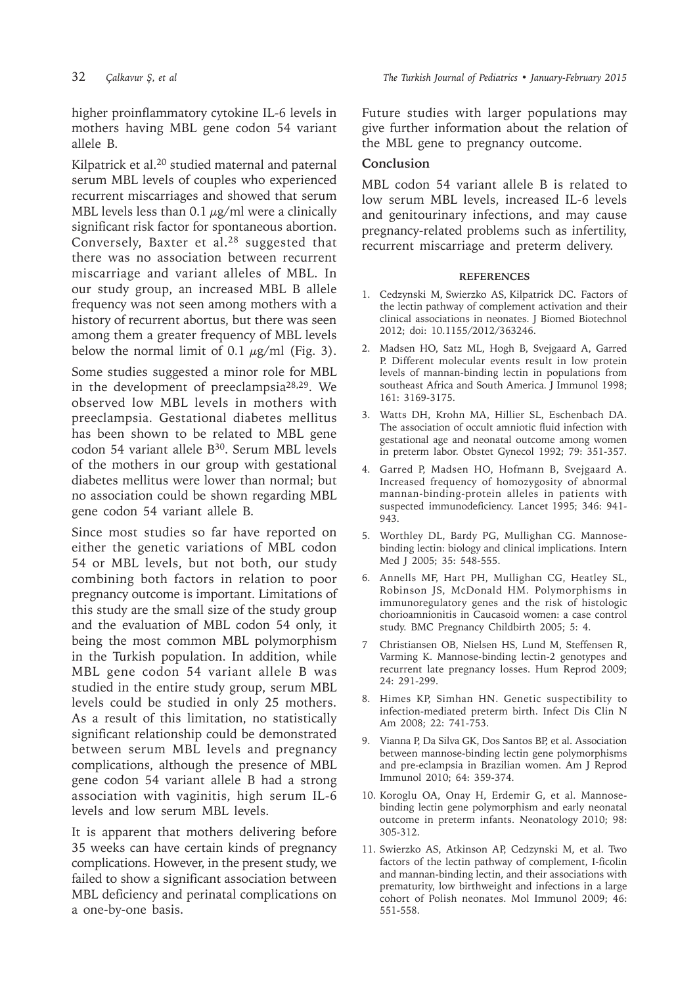higher proinflammatory cytokine IL-6 levels in mothers having MBL gene codon 54 variant allele B.

Kilpatrick et al.<sup>20</sup> studied maternal and paternal serum MBL levels of couples who experienced recurrent miscarriages and showed that serum MBL levels less than 0.1  $\mu$ g/ml were a clinically significant risk factor for spontaneous abortion. Conversely, Baxter et al.28 suggested that there was no association between recurrent miscarriage and variant alleles of MBL. In our study group, an increased MBL B allele frequency was not seen among mothers with a history of recurrent abortus, but there was seen among them a greater frequency of MBL levels below the normal limit of 0.1  $\mu$ g/ml (Fig. 3).

Some studies suggested a minor role for MBL in the development of preeclampsia28,29. We observed low MBL levels in mothers with preeclampsia. Gestational diabetes mellitus has been shown to be related to MBL gene codon 54 variant allele B<sup>30</sup>. Serum MBL levels of the mothers in our group with gestational diabetes mellitus were lower than normal; but no association could be shown regarding MBL gene codon 54 variant allele B.

Since most studies so far have reported on either the genetic variations of MBL codon 54 or MBL levels, but not both, our study combining both factors in relation to poor pregnancy outcome is important. Limitations of this study are the small size of the study group and the evaluation of MBL codon 54 only, it being the most common MBL polymorphism in the Turkish population. In addition, while MBL gene codon 54 variant allele B was studied in the entire study group, serum MBL levels could be studied in only 25 mothers. As a result of this limitation, no statistically significant relationship could be demonstrated between serum MBL levels and pregnancy complications, although the presence of MBL gene codon 54 variant allele B had a strong association with vaginitis, high serum IL-6 levels and low serum MBL levels.

It is apparent that mothers delivering before 35 weeks can have certain kinds of pregnancy complications. However, in the present study, we failed to show a significant association between MBL deficiency and perinatal complications on a one-by-one basis.

Future studies with larger populations may give further information about the relation of the MBL gene to pregnancy outcome.

# **Conclusion**

MBL codon 54 variant allele B is related to low serum MBL levels, increased IL-6 levels and genitourinary infections, and may cause pregnancy-related problems such as infertility, recurrent miscarriage and preterm delivery.

#### **REFERENCES**

- 1. Cedzynski M, Swierzko AS, Kilpatrick DC. Factors of the lectin pathway of complement activation and their clinical associations in neonates. J Biomed Biotechnol 2012; doi: 10.1155/2012/363246.
- 2. Madsen HO, Satz ML, Hogh B, Svejgaard A, Garred P. Different molecular events result in low protein levels of mannan-binding lectin in populations from southeast Africa and South America. J Immunol 1998; 161: 3169-3175.
- 3. Watts DH, Krohn MA, Hillier SL, Eschenbach DA. The association of occult amniotic fluid infection with gestational age and neonatal outcome among women in preterm labor. Obstet Gynecol 1992; 79: 351-357.
- 4. Garred P, Madsen HO, Hofmann B, Svejgaard A. Increased frequency of homozygosity of abnormal mannan-binding-protein alleles in patients with suspected immunodeficiency. Lancet 1995; 346: 941- 943.
- 5. Worthley DL, Bardy PG, Mullighan CG. Mannosebinding lectin: biology and clinical implications. Intern Med J 2005; 35: 548-555.
- 6. Annells MF, Hart PH, Mullighan CG, Heatley SL, Robinson JS, McDonald HM. Polymorphisms in immunoregulatory genes and the risk of histologic chorioamnionitis in Caucasoid women: a case control study. BMC Pregnancy Childbirth 2005; 5: 4.
- 7 Christiansen OB, Nielsen HS, Lund M, Steffensen R, Varming K. Mannose-binding lectin-2 genotypes and recurrent late pregnancy losses. Hum Reprod 2009; 24: 291-299.
- 8. Himes KP, Simhan HN. Genetic suspectibility to infection-mediated preterm birth. Infect Dis Clin N Am 2008; 22: 741-753.
- 9. Vianna P, Da Silva GK, Dos Santos BP, et al. Association between mannose-binding lectin gene polymorphisms and pre-eclampsia in Brazilian women. Am J Reprod Immunol 2010; 64: 359-374.
- 10. Koroglu OA, Onay H, Erdemir G, et al. Mannosebinding lectin gene polymorphism and early neonatal outcome in preterm infants. Neonatology 2010; 98: 305-312.
- 11. Swierzko AS, Atkinson AP, Cedzynski M, et al. Two factors of the lectin pathway of complement, I-ficolin and mannan-binding lectin, and their associations with prematurity, low birthweight and infections in a large cohort of Polish neonates. Mol Immunol 2009; 46: 551-558.